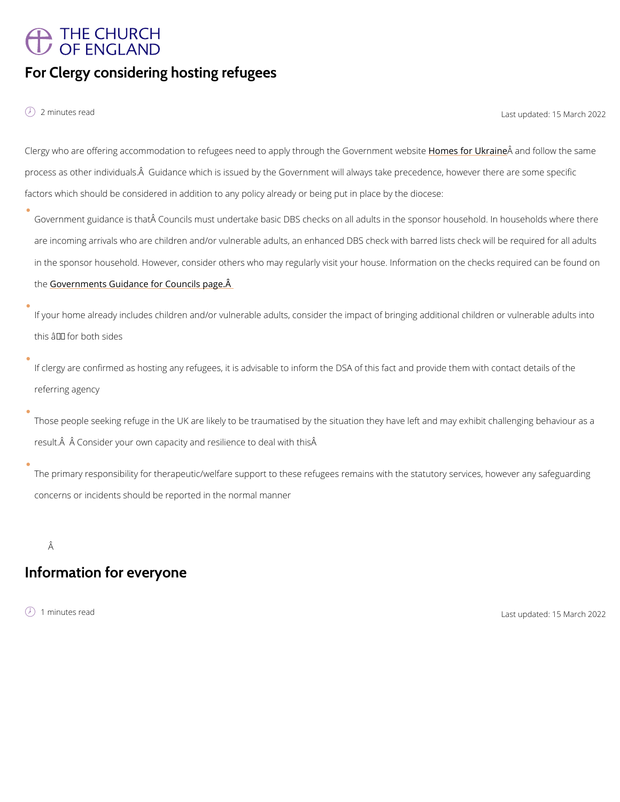## THE CHURCH OF ENGLAND For Clergy considering hosting refugees

é 2 minutes 2 minutes read last updated:  $\lambda$  Last updated:  $\lambda$ 

Clergy who are offering accommodation to refugees need to appHlyonthersofugyh UthÄeaaQhondevfeorlnionwenthiow e process as other individuals. $\hat{\sf A}\;$  Guidance which is issued by the Government will always take factors which should be considered in addition to any policy already or being put in place by

Government guidance is that Councils must undertake basic DBS checks on all adults in th are incoming arrivals who are children and/or vulnerable adults, an enhanced DBS check wi in the sponsor household. However, consider others who may regularly visit your house. Inf th[e Governments Guidance for C](https://www.gov.uk/guidance/homes-for-ukraine-guidance-for-councils#role-of-sponsors)ouncils page. A

If your home already includes children and/or vulnerable adults, consider the impact of brin this  $\hat{a} \in$ " for both sides

If clergy are confirmed as hosting any refugees, it is advisable to inform the DSA of this fa referring agency

Those people seeking refuge in the UK are likely to be traumatised by the situation they ha result. A A Consider your own capacity and resilience to deal with this A

The primary responsibility for therapeutic/welfare support to these refugees remains with the statutory services, however any services, the statutors with the statutors of the statutors of the statutors and statutors with concerns or incidents should be reported in the normal manner

Â

Information for everyone

í minutes read Last updat $\delta$ dMarch 2022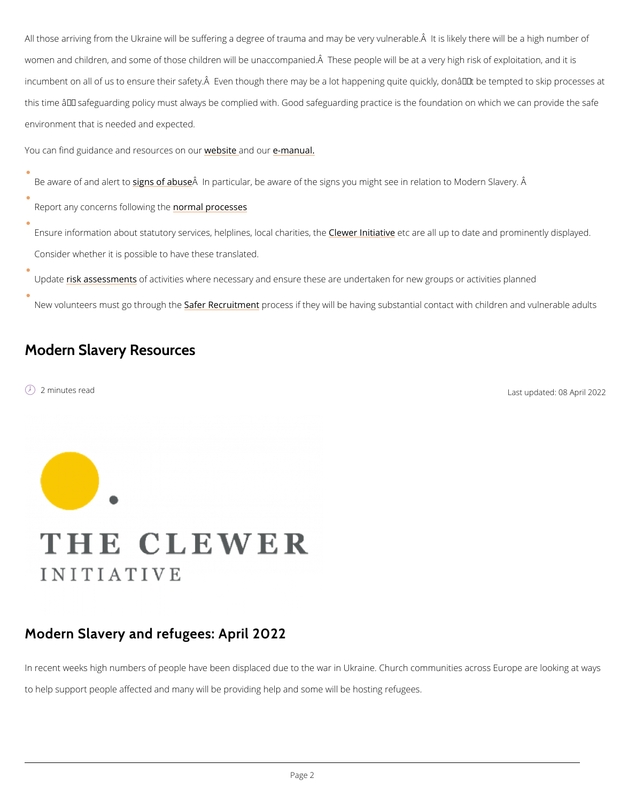All those arriving from the Ukraine will be suffering a degree of trauma and may be very vulr women and children, and some of those children will be unaccompanied. A These people will incumbent on all of us to ensure their safety.  $\mathsf{\tilde{A}}$  Even though there may be a lot happening qu this time  $\hat{a} \in$  "safeguarding policy must always be complied with. Good safeguarding practice environment that is needed and expected.

You can find guidanc[e](https://www.churchofengland.org/safeguarding/policy-and-practice-guidance) and [r](https://www.churchofengland.org/safeguarding/policy-and-practice-guidance)evelobs[i](https://www.churchofengland.org/safeguarding/policy-and-practice-guidance)te and one romuanual.

Be aware of and in allert of to a buste particular, be aware of the signs you might see in relation to

Report any concerns footon many producesses

- Ensure information about statutory services, h**@leweredniltiental værhea railtlieusp, tohe**date and promine Consider whether it is possible to have these translated.
- Updatesk assessmone hat stivities where necessary and ensure these are undertaken for new groups New volunteers must go Stahfreoru **Rhecthue process** if they will be having substantial contact with d

## Modern Slavery Resources

é 2 minutes Last upda $\theta$ edApril 2022

## Modern Slavery and refugees: April 2022

In recent weeks high numbers of people have been displaced due to the war in Ukraine. Chur

to help support people affected and many will be providing help and some will be hosting ref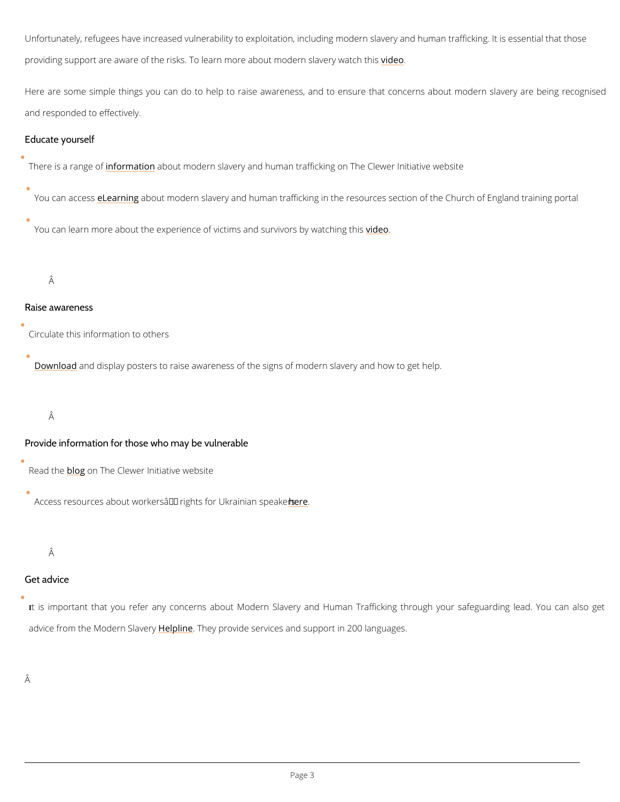Unfortunately, refugees have increased vulnerability to exploitation, including modern slaver providing support are aware of the risks. To learn more *vaible* ot modern slavery watch this

Here are some simple things you can do to help to raise awareness, and to ensure that c and responded to effectively.

Educate yourself

There is a raim foper motatiao bnout modern slavery and human trafficking on The Clewer Initiative we

You can ae tess niabout modern slavery and human trafficking in the resources section of the

You can learn more about the experience of victims [and](https://www.youtube.com/watch?v=5oxbpLdtY3U&list=PLkaqIn7jUisnLLRl-QFpsbc_HEPFw5yPN&index=4) the survivors by watching this

Â

Raise awareness

Circulate this information to others

[Downlo](https://theclewerinitiative.org/resources/awareness-downloads)ad display posters to raise awareness of the signs of modern slavery and how to get

Â

Provide information for those who may be vulnerable

Read [the](https://theclewerinitiative.org/blog/the-long-term-work-of-supporting-ukrainian-refugees) opn The Clewer Initiative website

Access resources about workers' righterefor Ukrainian speakers

Â

Â

Get advice

## It is important that you refer any concerns about Modern Slavery and Human Trafficking

advice from the Modern  $\beta$ la  $\bar{e}$  and  $e$  provide services and support in 200 languages.